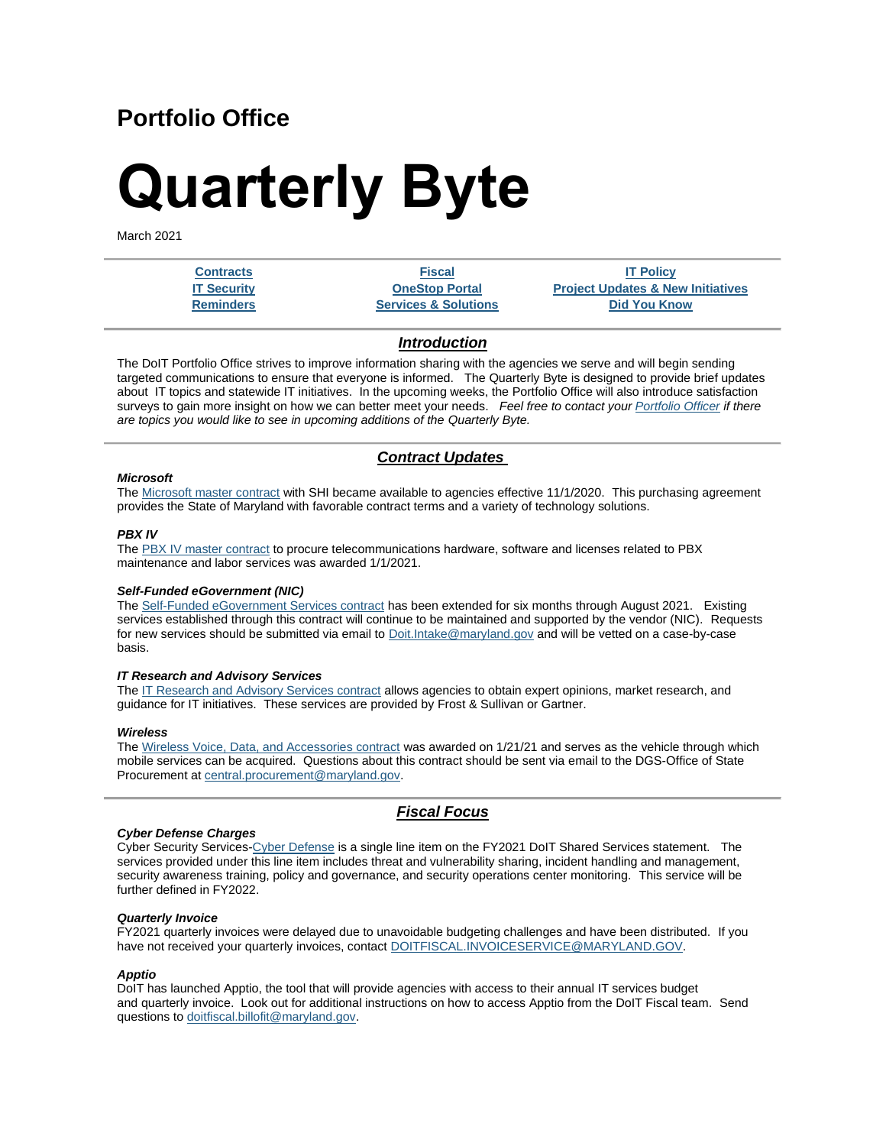# **Portfolio Office**

# **Quarterly Byte**

March 2021

**[Contracts](https://mail.google.com/mail/u/0/#m_279644542787559917_ContractUpdates) [Fiscal](https://mail.google.com/mail/u/0/#m_279644542787559917_Fiscal) [IT Policy](https://mail.google.com/mail/u/0/#m_279644542787559917_ITPolicy) [IT Security](https://mail.google.com/mail/u/0/#m_279644542787559917_ITSecurity) [OneStop Portal](https://mail.google.com/mail/u/0/#m_279644542787559917_OneStop) [Project Updates & New Initiatives](https://mail.google.com/mail/u/0/#m_279644542787559917_Update) [Reminders](https://mail.google.com/mail/u/0/#m_279644542787559917_Reminders) [Services & Solutions](https://mail.google.com/mail/u/0/#m_279644542787559917_Services-Solutions) [Did You Know](https://mail.google.com/mail/u/0/#m_279644542787559917_FYI)**

# *Introduction*

The DoIT Portfolio Office strives to improve information sharing with the agencies we serve and will begin sending targeted communications to ensure that everyone is informed. The Quarterly Byte is designed to provide brief updates about IT topics and statewide IT initiatives. In the upcoming weeks, the Portfolio Office will also introduce satisfaction surveys to gain more insight on how we can better meet your needs. *Feel free to* c*ontact your [Portfolio Officer](https://lnks.gd/l/eyJhbGciOiJIUzI1NiJ9.eyJidWxsZXRpbl9saW5rX2lkIjoxMDAsInVyaSI6ImJwMjpjbGljayIsImJ1bGxldGluX2lkIjoiMjAyMTAzMjQuMzc2NTg1NTEiLCJ1cmwiOiJodHRwczovL2RvaXQubWFyeWxhbmQuZ292L3N1cHBvcnQvUGFnZXMvcG9ydGZvbGlvLW9mZmljZXJzLmFzcHgifQ._YHVci0pdve5HdaDynLV8LCmTOxJKd2ecZBTm_SqSpY/s/267717117/br/100603572748-l) if there are topics you would like to see in upcoming additions of the Quarterly Byte.*

# *Contract Updates*

#### *Microsoft*

The [Microsoft master contract](https://lnks.gd/l/eyJhbGciOiJIUzI1NiJ9.eyJidWxsZXRpbl9saW5rX2lkIjoxMDEsInVyaSI6ImJwMjpjbGljayIsImJ1bGxldGluX2lkIjoiMjAyMTAzMjQuMzc2NTg1NTEiLCJ1cmwiOiJodHRwczovL2RvaXQubWFyeWxhbmQuZ292L2NvbnRyYWN0cy9QYWdlcy9NTFBIb21lcGFnZS5hc3B4In0.PPR8GJp6lsyb8thP-yoWLvAOFx9O6jtddUYtKVKv8aM/s/267717117/br/100603572748-l) with SHI became available to agencies effective 11/1/2020. This purchasing agreement provides the State of Maryland with favorable contract terms and a variety of technology solutions.

#### *PBX IV*

The [PBX IV master contract](https://lnks.gd/l/eyJhbGciOiJIUzI1NiJ9.eyJidWxsZXRpbl9saW5rX2lkIjoxMDIsInVyaSI6ImJwMjpjbGljayIsImJ1bGxldGluX2lkIjoiMjAyMTAzMjQuMzc2NTg1NTEiLCJ1cmwiOiJodHRwczovL2RvaXQubWFyeWxhbmQuZ292L2NvbnRyYWN0cy9QYWdlcy9QQlhJVk1DLmFzcHgifQ.K5Z_JM-lG5-ql-MD2PQLh__KhyYZ-IFrOgIPupOnP20/s/267717117/br/100603572748-l) to procure telecommunications hardware, software and licenses related to PBX maintenance and labor services was awarded 1/1/2021.

#### *Self-Funded eGovernment (NIC)*

The [Self-Funded eGovernment Services contract](https://lnks.gd/l/eyJhbGciOiJIUzI1NiJ9.eyJidWxsZXRpbl9saW5rX2lkIjoxMDMsInVyaSI6ImJwMjpjbGljayIsImJ1bGxldGluX2lkIjoiMjAyMTAzMjQuMzc2NTg1NTEiLCJ1cmwiOiJodHRwczovL2RvaXQubWFyeWxhbmQuZ292L2NvbnRyYWN0cy9QYWdlcy9lR292U2VydmljZXMuYXNweCJ9.ue1ArlOno2nQJpfVgh0WzqpSEUSkXFP83V10WK3Ydms/s/267717117/br/100603572748-l) has been extended for six months through August 2021. Existing services established through this contract will continue to be maintained and supported by the vendor (NIC). Requests for new services should be submitted via email to [Doit.Intake@maryland.gov](mailto:Doit.Intake@maryland.gov) and will be vetted on a case-by-case basis.

#### *IT Research and Advisory Services*

The [IT Research and Advisory Services contract](https://lnks.gd/l/eyJhbGciOiJIUzI1NiJ9.eyJidWxsZXRpbl9saW5rX2lkIjoxMDQsInVyaSI6ImJwMjpjbGljayIsImJ1bGxldGluX2lkIjoiMjAyMTAzMjQuMzc2NTg1NTEiLCJ1cmwiOiJodHRwczovL2RvaXQubWFyeWxhbmQuZ292L2NvbnRyYWN0cy9QYWdlcy9Db250cmFjdExpYnJhcnlJVFJlc2VhcmNoQWR2U2VydmljZXMuYXNweCJ9.PeZ3Q9TaoYexF735AXzHpyM9ErbmmcNxXpX_880j8R0/s/267717117/br/100603572748-l) allows agencies to obtain expert opinions, market research, and guidance for IT initiatives. These services are provided by Frost & Sullivan or Gartner.

#### *Wireless*

The [Wireless Voice, Data, and Accessories contract](https://lnks.gd/l/eyJhbGciOiJIUzI1NiJ9.eyJidWxsZXRpbl9saW5rX2lkIjoxMDUsInVyaSI6ImJwMjpjbGljayIsImJ1bGxldGluX2lkIjoiMjAyMTAzMjQuMzc2NTg1NTEiLCJ1cmwiOiJodHRwczovL2RvaXQubWFyeWxhbmQuZ292L2NvbnRyYWN0cy9QYWdlcy9XaXJlbGVzcy1Wb2ljZS1EYXRhLUFjY2Vzc29yaWVzLmFzcHgifQ.dXCFl6vQYSrhbE1J1y0oRwKgi-7euEeHnQ6qK1yX5ak/s/267717117/br/100603572748-l) was awarded on 1/21/21 and serves as the vehicle through which mobile services can be acquired. Questions about this contract should be sent via email to the DGS-Office of State Procurement at [central.procurement@maryland.gov.](mailto:central.procurement@maryland.gov)

# *Fiscal Focus*

# *Cyber Defense Charges*

Cyber Security Services[-Cyber Defense](https://lnks.gd/l/eyJhbGciOiJIUzI1NiJ9.eyJidWxsZXRpbl9saW5rX2lkIjoxMDYsInVyaSI6ImJwMjpjbGljayIsImJ1bGxldGluX2lkIjoiMjAyMTAzMjQuMzc2NTg1NTEiLCJ1cmwiOiJodHRwczovL2RvaXQubWFyeWxhbmQuZ292L3N1cHBvcnQvRG9jdW1lbnRzL3NlcnZpY2VfYWdyZWVtZW50cy9TZWN1cml0eSUyMFNlcnZpY2VzJTIwQWdyZWVtZW50LnBkZiJ9.rm5naiFvCk_LcKCCTovJgyHn6W9WYWxtwhNGmOAP9pU/s/267717117/br/100603572748-l) is a single line item on the FY2021 DoIT Shared Services statement. The services provided under this line item includes threat and vulnerability sharing, incident handling and management, security awareness training, policy and governance, and security operations center monitoring. This service will be further defined in FY2022.

#### *Quarterly Invoice*

FY2021 quarterly invoices were delayed due to unavoidable budgeting challenges and have been distributed. If you have not received your quarterly invoices, contact [DOITFISCAL.INVOICESERVICE@MARYLAND.GOV.](mailto:DOITFISCAL.INVOICESERVICE@MARYLAND.GOV)

#### *Apptio*

DoIT has launched Apptio, the tool that will provide agencies with access to their annual IT services budget and quarterly invoice. Look out for additional instructions on how to access Apptio from the DoIT Fiscal team. Send questions to [doitfiscal.billofit@maryland.gov.](mailto:doitfiscal.billofit@maryland.gov)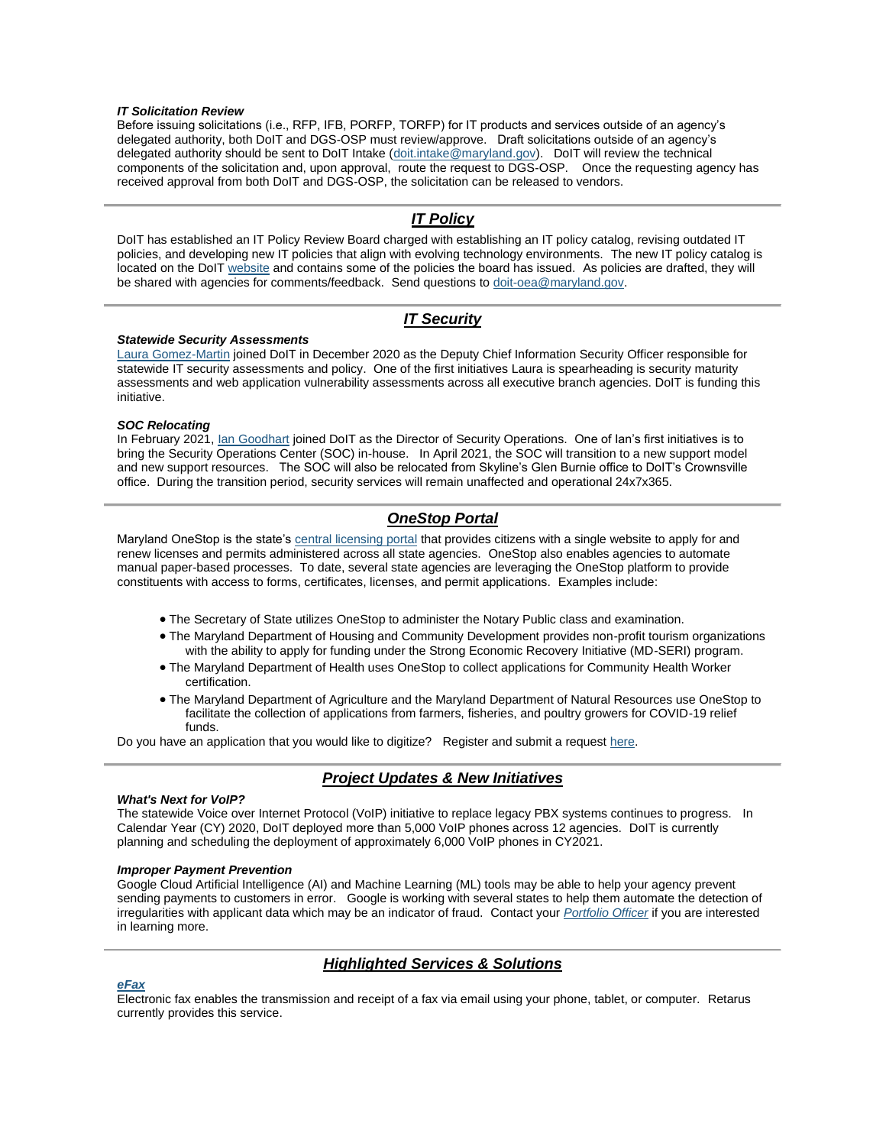#### *IT Solicitation Review*

Before issuing solicitations (i.e., RFP, IFB, PORFP, TORFP) for IT products and services outside of an agency's delegated authority, both DoIT and DGS-OSP must review/approve. Draft solicitations outside of an agency's delegated authority should be sent to DoIT Intake [\(doit.intake@maryland.gov\)](mailto:doit.intake@maryland.gov). DoIT will review the technical components of the solicitation and, upon approval, route the request to DGS-OSP. Once the requesting agency has received approval from both DoIT and DGS-OSP, the solicitation can be released to vendors.

# *IT Policy*

DoIT has established an IT Policy Review Board charged with establishing an IT policy catalog, revising outdated IT policies, and developing new IT policies that align with evolving technology environments. The new IT policy catalog is located on the DoIT [website](https://lnks.gd/l/eyJhbGciOiJIUzI1NiJ9.eyJidWxsZXRpbl9saW5rX2lkIjoxMDcsInVyaSI6ImJwMjpjbGljayIsImJ1bGxldGluX2lkIjoiMjAyMTAzMjQuMzc2NTg1NTEiLCJ1cmwiOiJodHRwczovL2RvaXQubWFyeWxhbmQuZ292L3BvbGljaWVzL1BhZ2VzL2RlZmF1bHQuYXNweCJ9.AwIXah_yU61ddxHwilAbe5TjBYXi0TVGlhSp33fGino/s/267717117/br/100603572748-l) and contains some of the policies the board has issued. As policies are drafted, they will be shared with agencies for comments/feedback. Send questions to [doit-oea@maryland.gov.](mailto:doit-oea@maryland.gov)

# *IT Security*

#### *Statewide Security Assessments*

[Laura Gomez-Martin](mailto:laura.gomez-martin@maryland.gov) joined DoIT in December 2020 as the Deputy Chief Information Security Officer responsible for statewide IT security assessments and policy. One of the first initiatives Laura is spearheading is security maturity assessments and web application vulnerability assessments across all executive branch agencies. DoIT is funding this initiative.

#### *SOC Relocating*

In February 2021, [Ian Goodhart](mailto:ians.goodhart@maryland.gov) joined DoIT as the Director of Security Operations. One of Ian's first initiatives is to bring the Security Operations Center (SOC) in-house. In April 2021, the SOC will transition to a new support model and new support resources. The SOC will also be relocated from Skyline's Glen Burnie office to DoIT's Crownsville office. During the transition period, security services will remain unaffected and operational 24x7x365.

# *OneStop Portal*

Maryland OneStop is the state's [central licensing portal](https://lnks.gd/l/eyJhbGciOiJIUzI1NiJ9.eyJidWxsZXRpbl9saW5rX2lkIjoxMDgsInVyaSI6ImJwMjpjbGljayIsImJ1bGxldGluX2lkIjoiMjAyMTAzMjQuMzc2NTg1NTEiLCJ1cmwiOiJodHRwczovL29uZXN0b3AubWQuZ292LyJ9._v_aFv53T6HvuECUMkKWrfIX58vB3dOa3Y6q_EcZjlI/s/267717117/br/100603572748-l) that provides citizens with a single website to apply for and renew licenses and permits administered across all state agencies. OneStop also enables agencies to automate manual paper-based processes. To date, several state agencies are leveraging the OneStop platform to provide constituents with access to forms, certificates, licenses, and permit applications. Examples include:

- The Secretary of State utilizes OneStop to administer the Notary Public class and examination.
- The Maryland Department of Housing and Community Development provides non-profit tourism organizations with the ability to apply for funding under the Strong Economic Recovery Initiative (MD-SERI) program.
- The Maryland Department of Health uses OneStop to collect applications for Community Health Worker certification.
- The Maryland Department of Agriculture and the Maryland Department of Natural Resources use OneStop to facilitate the collection of applications from farmers, fisheries, and poultry growers for COVID-19 relief funds.

Do you have an application that you would like to digitize? Register and submit a request [here.](https://lnks.gd/l/eyJhbGciOiJIUzI1NiJ9.eyJidWxsZXRpbl9saW5rX2lkIjoxMDksInVyaSI6ImJwMjpjbGljayIsImJ1bGxldGluX2lkIjoiMjAyMTAzMjQuMzc2NTg1NTEiLCJ1cmwiOiJodHRwczovL29uZXN0b3AubWQuZ292L2Zvcm1zL29uZXN0b3AtZGlnaXRpemF0aW9uLXJlcXVlc3QtNWU3MjE4ZDVhOTAzZWYyOWJlZDEzYTUwIn0.u-Zw97b3BGVeqsGxXIovmnJLyXaAdhG-LQrtgbvdMzM/s/267717117/br/100603572748-l)

# *Project Updates & New Initiatives*

#### *What's Next for VoIP?*

The statewide Voice over Internet Protocol (VoIP) initiative to replace legacy PBX systems continues to progress. In Calendar Year (CY) 2020, DoIT deployed more than 5,000 VoIP phones across 12 agencies. DoIT is currently planning and scheduling the deployment of approximately 6,000 VoIP phones in CY2021.

#### *Improper Payment Prevention*

Google Cloud Artificial Intelligence (AI) and Machine Learning (ML) tools may be able to help your agency prevent sending payments to customers in error. Google is working with several states to help them automate the detection of irregularities with applicant data which may be an indicator of fraud. Contact your *[Portfolio Officer](https://lnks.gd/l/eyJhbGciOiJIUzI1NiJ9.eyJidWxsZXRpbl9saW5rX2lkIjoxMTAsInVyaSI6ImJwMjpjbGljayIsImJ1bGxldGluX2lkIjoiMjAyMTAzMjQuMzc2NTg1NTEiLCJ1cmwiOiJodHRwczovL2RvaXQubWFyeWxhbmQuZ292L3N1cHBvcnQvUGFnZXMvcG9ydGZvbGlvLW9mZmljZXJzLmFzcHgifQ.rq2v1T-s6_tP07_nnqtcru2D3GVHiNPMZT4o1fPmZfg/s/267717117/br/100603572748-l)* if you are interested in learning more.

### *Highlighted Services & Solutions*

# *[eFax](https://lnks.gd/l/eyJhbGciOiJIUzI1NiJ9.eyJidWxsZXRpbl9saW5rX2lkIjoxMTEsInVyaSI6ImJwMjpjbGljayIsImJ1bGxldGluX2lkIjoiMjAyMTAzMjQuMzc2NTg1NTEiLCJ1cmwiOiJodHRwczovL2RvaXQubWFyeWxhbmQuZ292L3N1cHBvcnQvUGFnZXMvc2NfZW5kX3VzZXJfY29tcHV0aW5nLmFzcHgifQ.Gck25vKscxhtHjxjE8AG63Eo4JR4sn06zY2KM4EQhhI/s/267717117/br/100603572748-l)*

Electronic fax enables the transmission and receipt of a fax via email using your phone, tablet, or computer. Retarus currently provides this service.